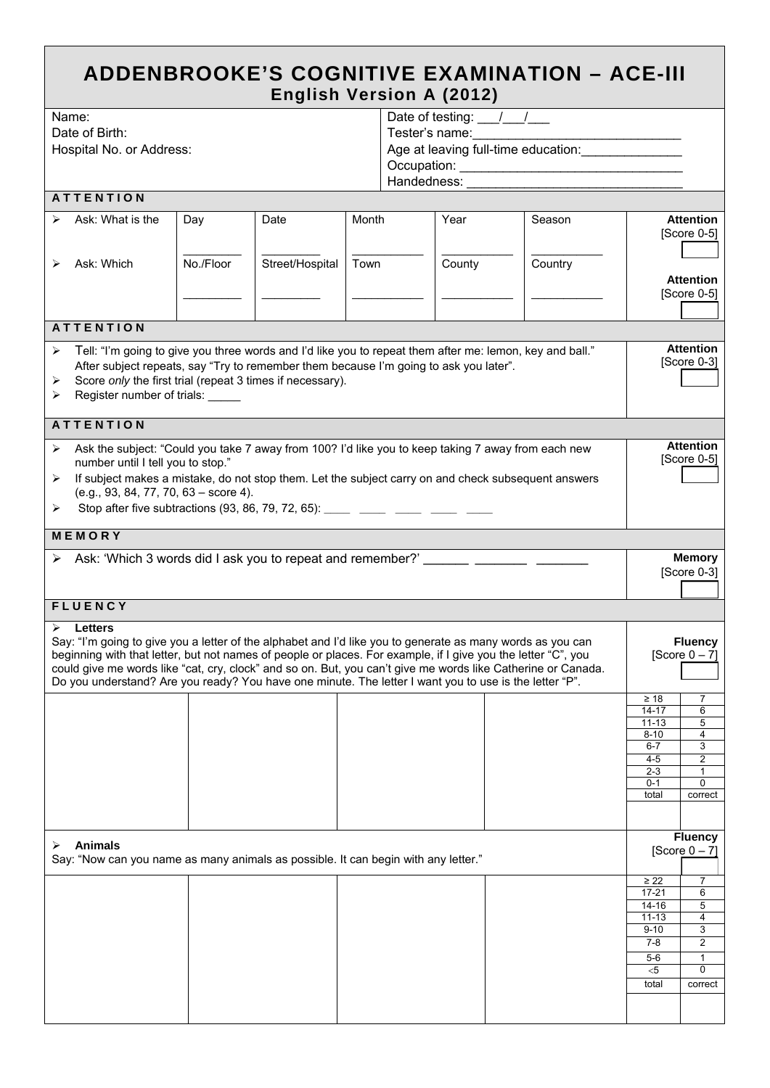| <b>ADDENBROOKE'S COGNITIVE EXAMINATION - ACE-III</b> |  |
|------------------------------------------------------|--|
| <b>English Version A (2012)</b>                      |  |

|                | Name:                                                                                                  |           |                 |       |                                          |        | Date of testing: $\frac{1}{\sqrt{2}}$                                                                         |                        |                                   |  |
|----------------|--------------------------------------------------------------------------------------------------------|-----------|-----------------|-------|------------------------------------------|--------|---------------------------------------------------------------------------------------------------------------|------------------------|-----------------------------------|--|
| Date of Birth: |                                                                                                        |           |                 |       | Tester's name:                           |        |                                                                                                               |                        |                                   |  |
|                | Hospital No. or Address:                                                                               |           |                 |       | Age at leaving full-time education: ____ |        |                                                                                                               |                        |                                   |  |
|                |                                                                                                        |           |                 |       |                                          |        |                                                                                                               |                        |                                   |  |
|                |                                                                                                        |           |                 |       | Handedness:                              |        |                                                                                                               |                        |                                   |  |
|                | <b>ATTENTION</b>                                                                                       |           |                 |       |                                          |        |                                                                                                               |                        |                                   |  |
|                |                                                                                                        |           |                 |       |                                          |        |                                                                                                               |                        |                                   |  |
| ⋗              | Ask: What is the                                                                                       | Day       | Date            | Month |                                          | Year   | Season                                                                                                        |                        | <b>Attention</b><br>$[Score 0-5]$ |  |
|                |                                                                                                        |           |                 |       |                                          |        |                                                                                                               |                        |                                   |  |
|                | Ask: Which                                                                                             | No./Floor | Street/Hospital | Town  |                                          |        | Country                                                                                                       |                        |                                   |  |
|                |                                                                                                        |           |                 |       |                                          | County |                                                                                                               |                        |                                   |  |
|                |                                                                                                        |           |                 |       |                                          |        |                                                                                                               |                        | <b>Attention</b><br>[Score 0-5]   |  |
|                |                                                                                                        |           |                 |       |                                          |        |                                                                                                               |                        |                                   |  |
|                | <b>ATTENTION</b>                                                                                       |           |                 |       |                                          |        |                                                                                                               |                        |                                   |  |
|                |                                                                                                        |           |                 |       |                                          |        |                                                                                                               |                        |                                   |  |
| ➤              |                                                                                                        |           |                 |       |                                          |        | Tell: "I'm going to give you three words and I'd like you to repeat them after me: lemon, key and ball."      |                        | <b>Attention</b>                  |  |
|                | After subject repeats, say "Try to remember them because I'm going to ask you later".                  |           |                 |       |                                          |        |                                                                                                               |                        | [Score 0-3]                       |  |
| ➤              | Score only the first trial (repeat 3 times if necessary).                                              |           |                 |       |                                          |        |                                                                                                               |                        |                                   |  |
| ➤              | Register number of trials:                                                                             |           |                 |       |                                          |        |                                                                                                               |                        |                                   |  |
|                | <b>ATTENTION</b>                                                                                       |           |                 |       |                                          |        |                                                                                                               |                        |                                   |  |
|                |                                                                                                        |           |                 |       |                                          |        |                                                                                                               |                        |                                   |  |
| ➤              | number until I tell you to stop."                                                                      |           |                 |       |                                          |        | Ask the subject: "Could you take 7 away from 100? I'd like you to keep taking 7 away from each new            |                        | <b>Attention</b><br>$[Score 0-5]$ |  |
|                |                                                                                                        |           |                 |       |                                          |        |                                                                                                               |                        |                                   |  |
| ≻              | (e.g., 93, 84, 77, 70, 63 - score 4).                                                                  |           |                 |       |                                          |        | If subject makes a mistake, do not stop them. Let the subject carry on and check subsequent answers           |                        |                                   |  |
|                |                                                                                                        |           |                 |       |                                          |        |                                                                                                               |                        |                                   |  |
| ➤              | Stop after five subtractions (93, 86, 79, 72, 65): _____ ____ ____ ____ ____ ___                       |           |                 |       |                                          |        |                                                                                                               |                        |                                   |  |
|                | MEMORY                                                                                                 |           |                 |       |                                          |        |                                                                                                               |                        |                                   |  |
| ➤              | Ask: 'Which 3 words did I ask you to repeat and remember?' _______ ________ ______                     |           |                 |       |                                          |        |                                                                                                               |                        | <b>Memory</b>                     |  |
|                |                                                                                                        |           |                 |       |                                          |        |                                                                                                               |                        | [Score 0-3]                       |  |
|                |                                                                                                        |           |                 |       |                                          |        |                                                                                                               |                        |                                   |  |
|                | <b>FLUENCY</b>                                                                                         |           |                 |       |                                          |        |                                                                                                               |                        |                                   |  |
|                | <b>Letters</b>                                                                                         |           |                 |       |                                          |        |                                                                                                               |                        |                                   |  |
|                |                                                                                                        |           |                 |       |                                          |        | Say: "I'm going to give you a letter of the alphabet and I'd like you to generate as many words as you can    |                        | <b>Fluency</b>                    |  |
|                |                                                                                                        |           |                 |       |                                          |        | beginning with that letter, but not names of people or places. For example, if I give you the letter "C", you |                        | [Score $0 - 7$ ]                  |  |
|                |                                                                                                        |           |                 |       |                                          |        | could give me words like "cat, cry, clock" and so on. But, you can't give me words like Catherine or Canada.  |                        |                                   |  |
|                | Do you understand? Are you ready? You have one minute. The letter I want you to use is the letter "P". |           |                 |       |                                          |        |                                                                                                               |                        |                                   |  |
|                |                                                                                                        |           |                 |       |                                          |        |                                                                                                               | $\geq 18$              | 7                                 |  |
|                |                                                                                                        |           |                 |       |                                          |        |                                                                                                               | $14 - 17$              | 6                                 |  |
|                |                                                                                                        |           |                 |       |                                          |        |                                                                                                               | $11 - 13$<br>$8 - 10$  | 5<br>4                            |  |
|                |                                                                                                        |           |                 |       |                                          |        |                                                                                                               | $6 - 7$                | 3                                 |  |
|                |                                                                                                        |           |                 |       |                                          |        |                                                                                                               | 4-5                    | $\overline{2}$                    |  |
|                |                                                                                                        |           |                 |       |                                          |        |                                                                                                               | $2 - 3$<br>$0 - 1$     | 1<br>0                            |  |
|                |                                                                                                        |           |                 |       |                                          |        |                                                                                                               | total                  | correct                           |  |
|                |                                                                                                        |           |                 |       |                                          |        |                                                                                                               |                        |                                   |  |
|                |                                                                                                        |           |                 |       |                                          |        |                                                                                                               |                        |                                   |  |
|                | <b>Animals</b>                                                                                         |           |                 |       |                                          |        |                                                                                                               |                        | <b>Fluency</b>                    |  |
| ➤              | Say: "Now can you name as many animals as possible. It can begin with any letter."                     |           |                 |       |                                          |        |                                                                                                               |                        | [Score $0 - 7$ ]                  |  |
|                |                                                                                                        |           |                 |       |                                          |        |                                                                                                               |                        |                                   |  |
|                |                                                                                                        |           |                 |       |                                          |        |                                                                                                               | $\geq$ 22<br>$17 - 21$ | 7<br>6                            |  |
|                |                                                                                                        |           |                 |       |                                          |        |                                                                                                               | $14 - 16$              | 5                                 |  |
|                |                                                                                                        |           |                 |       |                                          |        |                                                                                                               | $11 - 13$              | 4                                 |  |
|                |                                                                                                        |           |                 |       |                                          |        |                                                                                                               | $9 - 10$               | 3                                 |  |
|                |                                                                                                        |           |                 |       |                                          |        |                                                                                                               | $7 - 8$                | $\overline{2}$                    |  |
|                |                                                                                                        |           |                 |       |                                          |        |                                                                                                               | $5-6$                  | $\mathbf{1}$                      |  |
|                |                                                                                                        |           |                 |       |                                          |        |                                                                                                               | $<$ 5<br>total         | 0<br>correct                      |  |
|                |                                                                                                        |           |                 |       |                                          |        |                                                                                                               |                        |                                   |  |
|                |                                                                                                        |           |                 |       |                                          |        |                                                                                                               |                        |                                   |  |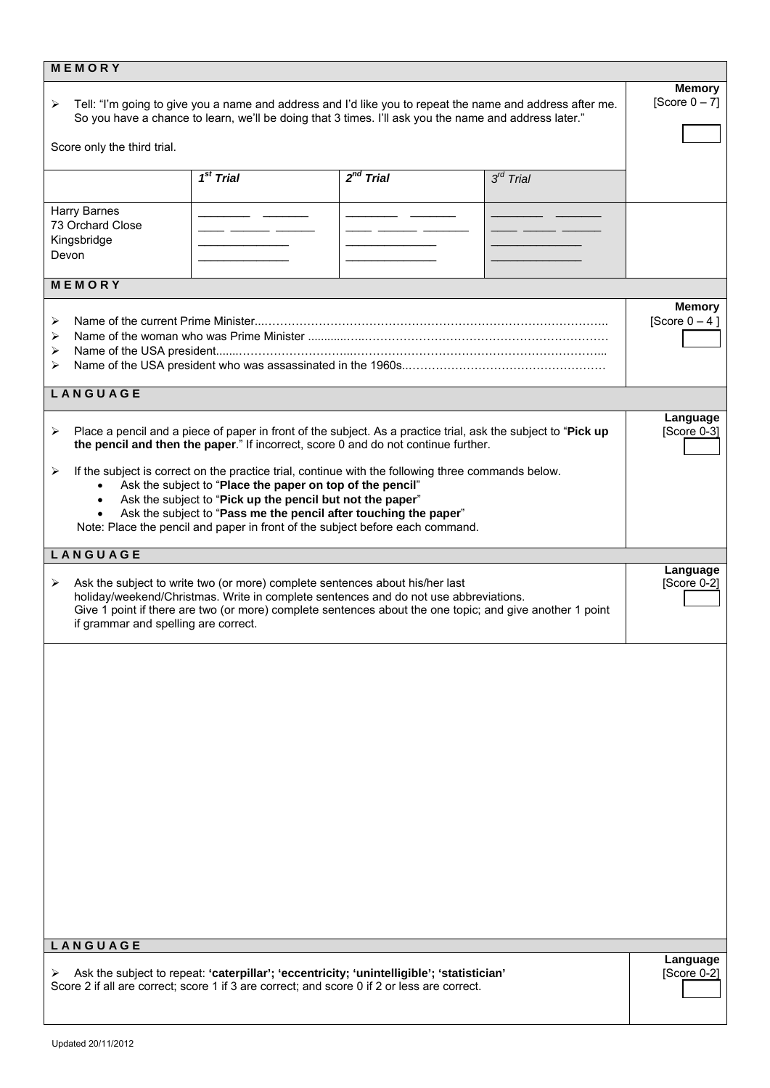| MEMORY                                                                                                                                                                                                                                                                                                                                                                                              |             |                |                |                         |  |  |
|-----------------------------------------------------------------------------------------------------------------------------------------------------------------------------------------------------------------------------------------------------------------------------------------------------------------------------------------------------------------------------------------------------|-------------|----------------|----------------|-------------------------|--|--|
| Tell: "I'm going to give you a name and address and I'd like you to repeat the name and address after me.<br>➤<br>So you have a chance to learn, we'll be doing that 3 times. I'll ask you the name and address later."                                                                                                                                                                             |             |                |                |                         |  |  |
| Score only the third trial.                                                                                                                                                                                                                                                                                                                                                                         |             |                |                |                         |  |  |
|                                                                                                                                                                                                                                                                                                                                                                                                     | $1st$ Trial | $2^{nd}$ Trial | $3^{rd}$ Trial |                         |  |  |
| Harry Barnes<br>73 Orchard Close<br>Kingsbridge<br>Devon                                                                                                                                                                                                                                                                                                                                            |             | ____           |                |                         |  |  |
| MEMORY                                                                                                                                                                                                                                                                                                                                                                                              |             |                |                |                         |  |  |
| ➤<br>⋗<br>➤<br>⋗                                                                                                                                                                                                                                                                                                                                                                                    |             |                |                |                         |  |  |
| LANGUAGE                                                                                                                                                                                                                                                                                                                                                                                            |             |                |                |                         |  |  |
| Place a pencil and a piece of paper in front of the subject. As a practice trial, ask the subject to "Pick up<br>➤<br>the pencil and then the paper." If incorrect, score 0 and do not continue further.                                                                                                                                                                                            |             |                |                |                         |  |  |
| If the subject is correct on the practice trial, continue with the following three commands below.<br>➤<br>Ask the subject to "Place the paper on top of the pencil"<br>Ask the subject to "Pick up the pencil but not the paper"<br>$\bullet$<br>Ask the subject to "Pass me the pencil after touching the paper"<br>Note: Place the pencil and paper in front of the subject before each command. |             |                |                |                         |  |  |
| LANGUAGE                                                                                                                                                                                                                                                                                                                                                                                            |             |                |                |                         |  |  |
| Ask the subject to write two (or more) complete sentences about his/her last<br>➤<br>holiday/weekend/Christmas. Write in complete sentences and do not use abbreviations.<br>Give 1 point if there are two (or more) complete sentences about the one topic; and give another 1 point<br>if grammar and spelling are correct.                                                                       |             |                |                |                         |  |  |
| LANGUAGE                                                                                                                                                                                                                                                                                                                                                                                            |             |                |                |                         |  |  |
|                                                                                                                                                                                                                                                                                                                                                                                                     |             |                |                | Language<br>[Score 0-2] |  |  |
| Ask the subject to repeat: 'caterpillar'; 'eccentricity; 'unintelligible'; 'statistician'<br>➤<br>Score 2 if all are correct; score 1 if 3 are correct; and score 0 if 2 or less are correct.                                                                                                                                                                                                       |             |                |                |                         |  |  |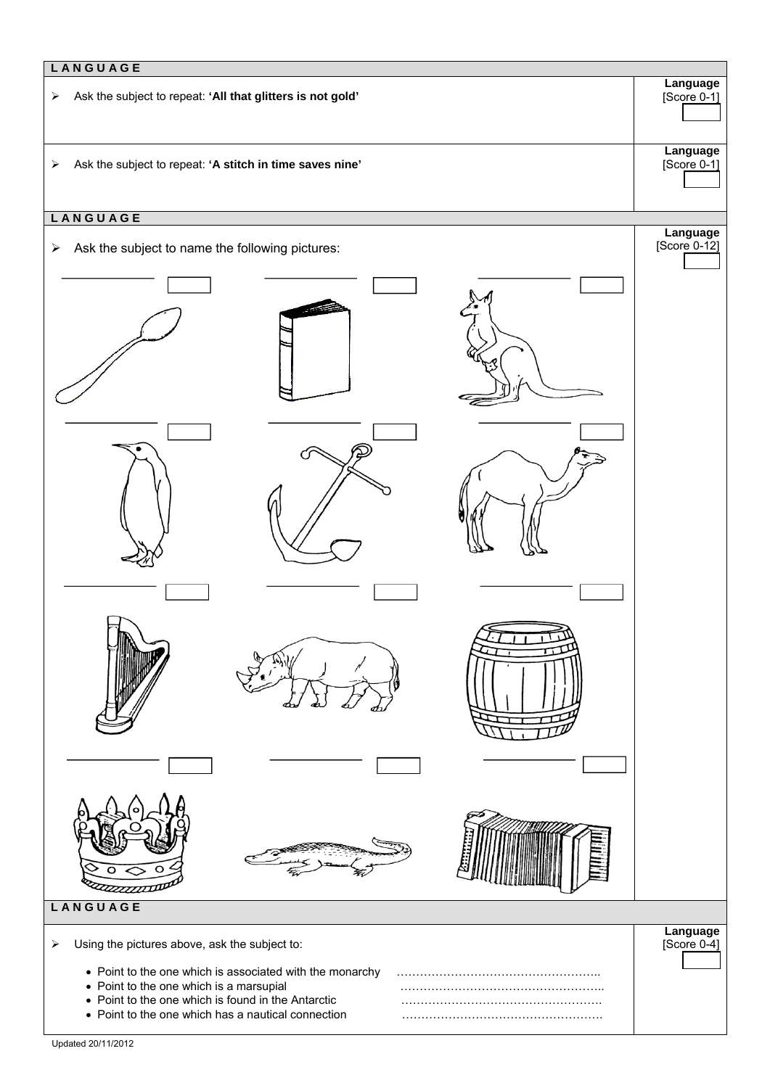**L A N G U A G E**  ¾ Ask the subject to repeat: **'All that glitters is not gold'**  ¾ Ask the subject to repeat: **'A stitch in time saves nine' L A N G U A G E**   $\triangleright$  Ask the subject to name the following pictures: ₽

**Language** [Score 0-1]

**Language** [Score 0-1]

**Language** [Score 0-12]

**Language** [Score 0-4]

 $\triangleright$  Using the pictures above, ask the subject to:

• Point to the one which is associated with the monarchy ……………………………………………..

- Point to the one which is a marsupial example and manufacture with the point to the one which is a marsupial
- Point to the one which is found in the Antarctic …………………………………………….
- Point to the one which has a nautical connection **Example 20** and manufacture on the point to the one which has a nautical connection

**L A N G U A G E**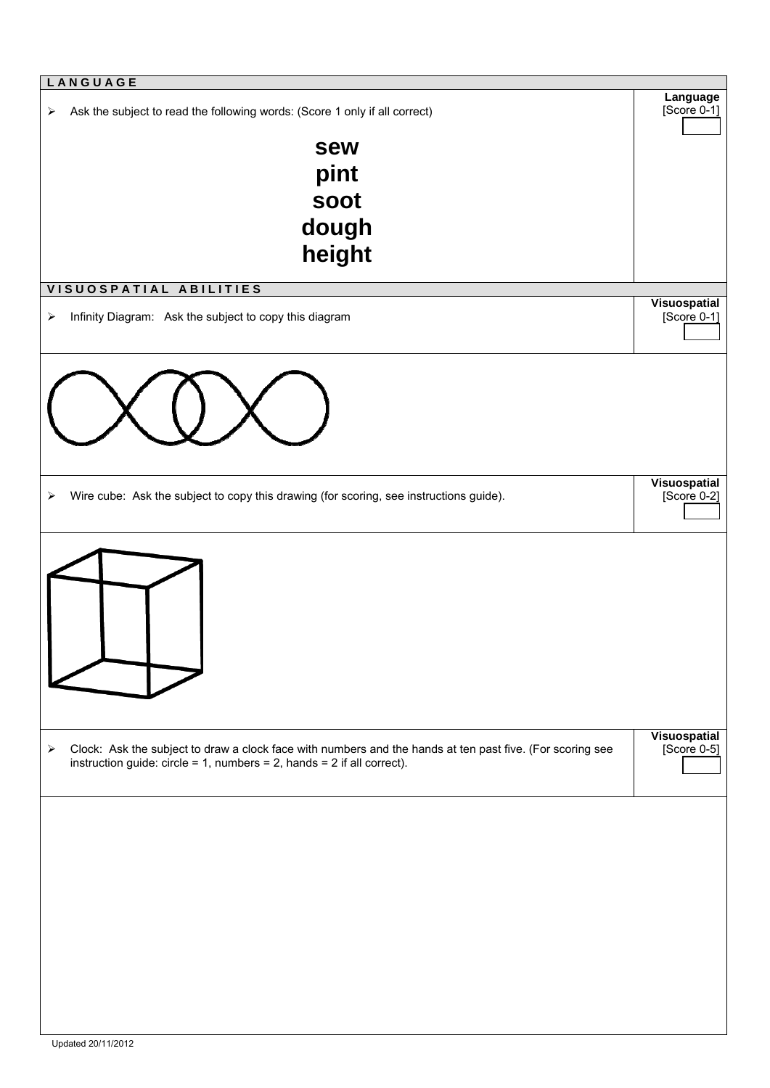| LANGUAGE                                                                                                                                                                                                        |                               |
|-----------------------------------------------------------------------------------------------------------------------------------------------------------------------------------------------------------------|-------------------------------|
| Ask the subject to read the following words: (Score 1 only if all correct)<br>$\blacktriangleright$                                                                                                             | Language<br>$[Score 0-1]$     |
| sew                                                                                                                                                                                                             |                               |
| pint                                                                                                                                                                                                            |                               |
| soot                                                                                                                                                                                                            |                               |
|                                                                                                                                                                                                                 |                               |
| dough                                                                                                                                                                                                           |                               |
| height                                                                                                                                                                                                          |                               |
| VISUOSPATIAL ABILITIES                                                                                                                                                                                          |                               |
|                                                                                                                                                                                                                 | Visuospatial                  |
| Infinity Diagram: Ask the subject to copy this diagram<br>➤                                                                                                                                                     | $[Score 0-1]$                 |
|                                                                                                                                                                                                                 |                               |
|                                                                                                                                                                                                                 |                               |
| Wire cube: Ask the subject to copy this drawing (for scoring, see instructions guide).<br>➤                                                                                                                     | Visuospatial<br>$[Score 0-2]$ |
|                                                                                                                                                                                                                 |                               |
|                                                                                                                                                                                                                 |                               |
|                                                                                                                                                                                                                 |                               |
| Clock: Ask the subject to draw a clock face with numbers and the hands at ten past five. (For scoring see<br>$\blacktriangleright$<br>instruction guide: $circle = 1$ , numbers = 2, hands = 2 if all correct). | Visuospatial<br>[Score 0-5]   |
|                                                                                                                                                                                                                 |                               |
|                                                                                                                                                                                                                 |                               |
|                                                                                                                                                                                                                 |                               |
|                                                                                                                                                                                                                 |                               |
|                                                                                                                                                                                                                 |                               |
|                                                                                                                                                                                                                 |                               |
|                                                                                                                                                                                                                 |                               |
|                                                                                                                                                                                                                 |                               |
|                                                                                                                                                                                                                 |                               |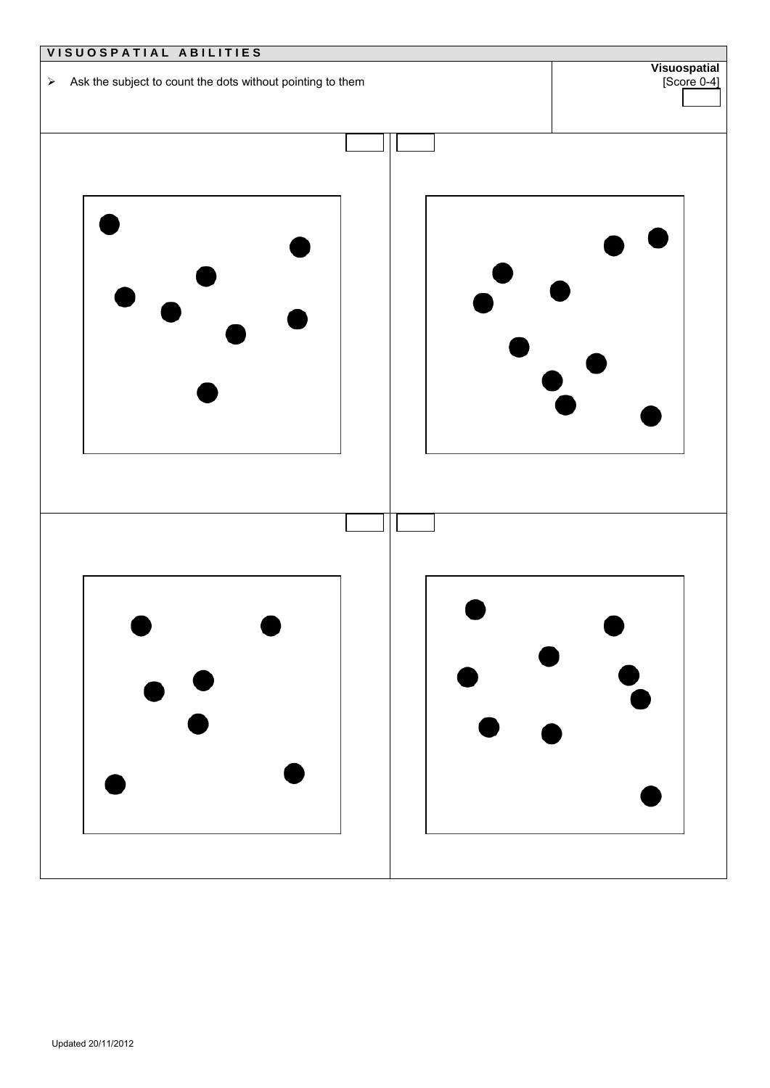